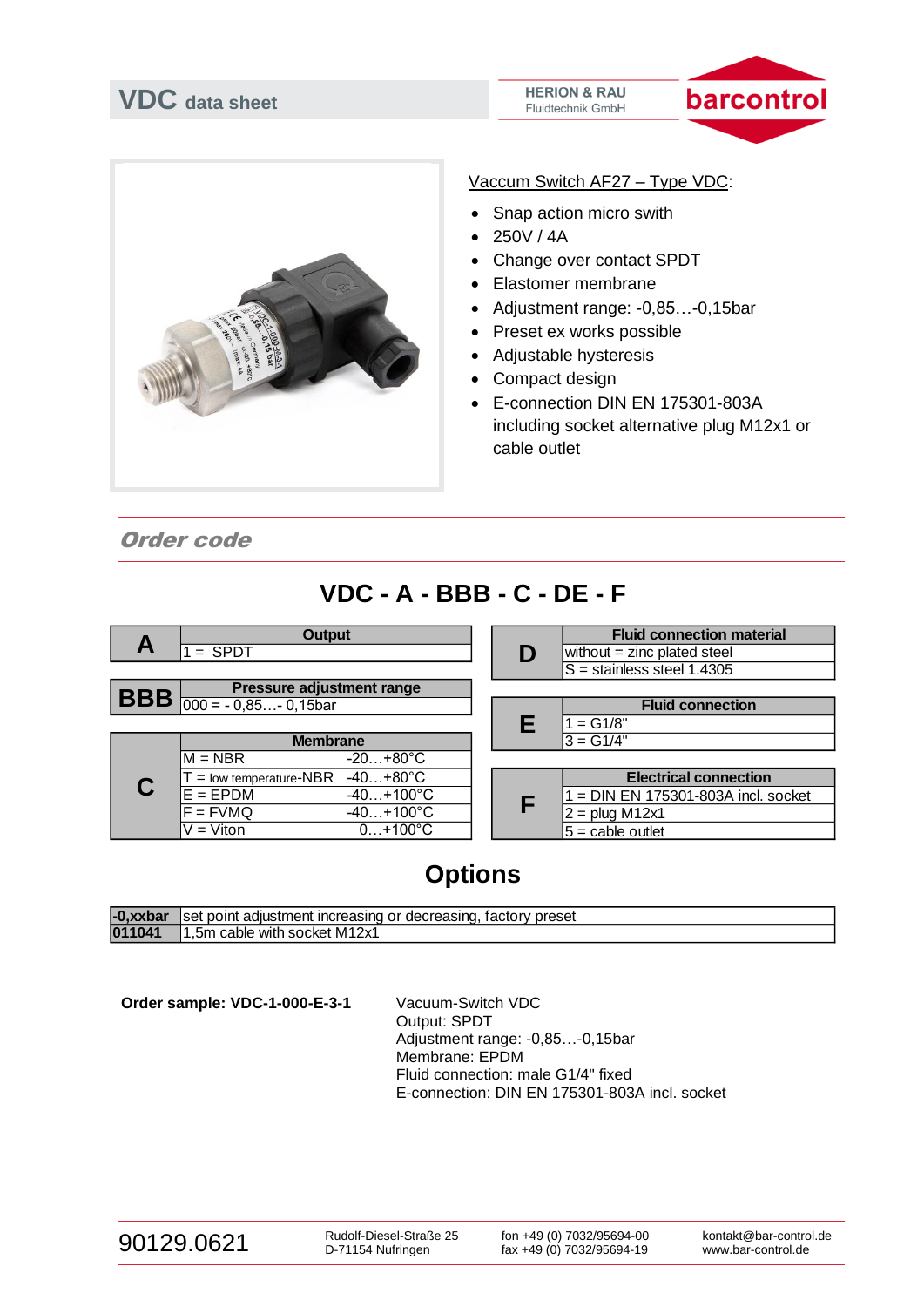



Vaccum Switch AF27 – Type VDC:

- Snap action micro swith
- 250V / 4A
- Change over contact SPDT
- Elastomer membrane
- Adjustment range: -0,85…-0,15bar
- Preset ex works possible
- Adjustable hysteresis
- Compact design
- E-connection DIN EN 175301-803A including socket alternative plug M12x1 or cable outlet

Order code

## **VDC - A - BBB - C - DE - F**



## **Options**

| -0.xxbar | Iset point adiustment increasing or decreasing.<br>tactory preset |
|----------|-------------------------------------------------------------------|
| 011041   | 5m cable with socket M12x1.                                       |

**Order sample: VDC-1-000-E-3-1** Vacuum-Switch VDC

Output: SPDT Adjustment range: -0,85…-0,15bar Membrane: EPDM Fluid connection: male G1/4" fixed E-connection: DIN EN 175301-803A incl. socket

| 90129.0621 |  |
|------------|--|
|------------|--|